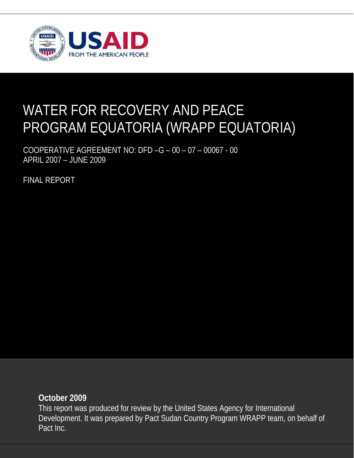

## WATER FOR RECOVERY AND PEACE PROGRAM EQUATORIA (WRAPP EQUATORIA)

COOPERATIVE AGREEMENT NO: DFD –G – 00 – 07 – 00067 - 00 APRIL 2007 – JUNE 2009

FINAL REPORT

**October 2009** 

This report was produced for review by the United States Agency for International Development. It was prepared by Pact Sudan Country Program WRAPP team, on behalf of Pact Inc.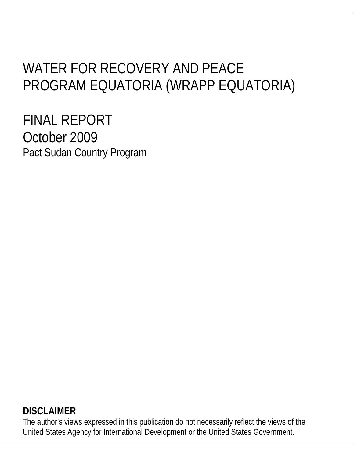# WATER FOR RECOVERY AND PEACE PROGRAM EQUATORIA (WRAPP EQUATORIA)

FINAL REPORT October 2009 Pact Sudan Country Program

## **DISCLAIMER**

The author's views expressed in this publication do not necessarily reflect the views of the United States Agency for International Development or the United States Government.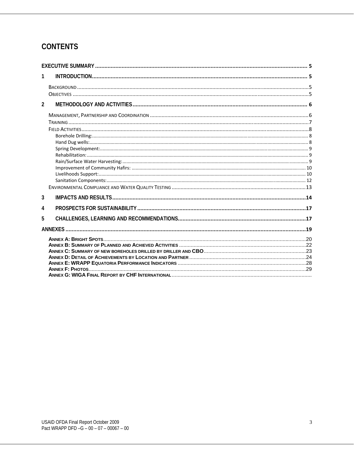## **CONTENTS**

| 1              |  |
|----------------|--|
|                |  |
|                |  |
| $\mathfrak{p}$ |  |
|                |  |
|                |  |
|                |  |
|                |  |
|                |  |
|                |  |
|                |  |
|                |  |
|                |  |
|                |  |
|                |  |
| 3              |  |
| 4              |  |
| 5              |  |
|                |  |
|                |  |
|                |  |
|                |  |
|                |  |
|                |  |
|                |  |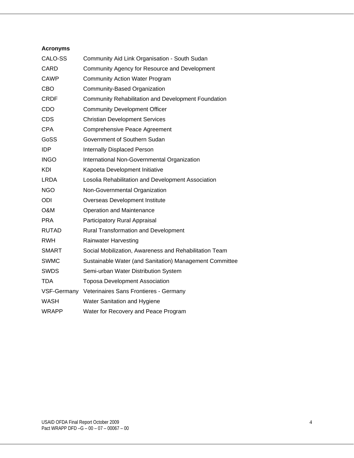#### **Acronyms**

| CALO-SS      | Community Aid Link Organisation - South Sudan              |
|--------------|------------------------------------------------------------|
| <b>CARD</b>  | Community Agency for Resource and Development              |
| <b>CAWP</b>  | <b>Community Action Water Program</b>                      |
| CBO          | Community-Based Organization                               |
| <b>CRDF</b>  | <b>Community Rehabilitation and Development Foundation</b> |
| CDO          | <b>Community Development Officer</b>                       |
| <b>CDS</b>   | <b>Christian Development Services</b>                      |
| <b>CPA</b>   | Comprehensive Peace Agreement                              |
| GoSS         | Government of Southern Sudan                               |
| <b>IDP</b>   | Internally Displaced Person                                |
| <b>INGO</b>  | International Non-Governmental Organization                |
| KDI          | Kapoeta Development Initiative                             |
| <b>LRDA</b>  | Losolia Rehabilitation and Development Association         |
| <b>NGO</b>   | Non-Governmental Organization                              |
| ODI          | Overseas Development Institute                             |
| O&M          | Operation and Maintenance                                  |
| <b>PRA</b>   | Participatory Rural Appraisal                              |
| <b>RUTAD</b> | <b>Rural Transformation and Development</b>                |
| <b>RWH</b>   | <b>Rainwater Harvesting</b>                                |
| <b>SMART</b> | Social Mobilization, Awareness and Rehabilitation Team     |
| <b>SWMC</b>  | Sustainable Water (and Sanitation) Management Committee    |
| <b>SWDS</b>  | Semi-urban Water Distribution System                       |
| <b>TDA</b>   | <b>Toposa Development Association</b>                      |
| VSF-Germany  | Veterinaires Sans Frontieres - Germany                     |
| <b>WASH</b>  | Water Sanitation and Hygiene                               |
| <b>WRAPP</b> | Water for Recovery and Peace Program                       |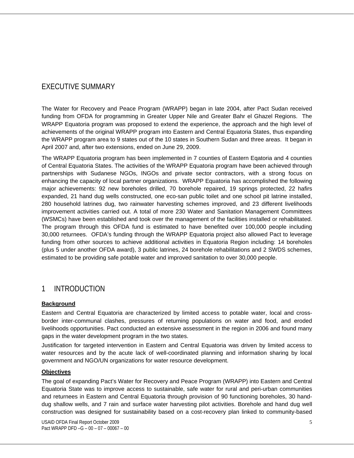## EXECUTIVE SUMMARY

The Water for Recovery and Peace Program (WRAPP) began in late 2004, after Pact Sudan received funding from OFDA for programming in Greater Upper Nile and Greater Bahr el Ghazel Regions. The WRAPP Equatoria program was proposed to extend the experience, the approach and the high level of achievements of the original WRAPP program into Eastern and Central Equatoria States, thus expanding the WRAPP program area to 9 states out of the 10 states in Southern Sudan and three areas. It began in April 2007 and, after two extensions, ended on June 29, 2009.

The WRAPP Equatoria program has been implemented in 7 counties of Eastern Eqatoria and 4 counties of Central Equatoria States. The activities of the WRAPP Equatoria program have been achieved through partnerships with Sudanese NGOs, INGOs and private sector contractors, with a strong focus on enhancing the capacity of local partner organizations. WRAPP Equatoria has accomplished the following major achievements: 92 new boreholes drilled, 70 borehole repaired, 19 springs protected, 22 hafirs expanded, 21 hand dug wells constructed, one eco-san public toilet and one school pit latrine installed, 280 household latrines dug, two rainwater harvesting schemes improved, and 23 different livelihoods improvement activities carried out. A total of more 230 Water and Sanitation Management Committees (WSMCs) have been established and took over the management of the facilities installed or rehabilitated. The program through this OFDA fund is estimated to have benefited over 100,000 people including 30,000 returnees. OFDA's funding through the WRAPP Equatoria project also allowed Pact to leverage funding from other sources to achieve additional activities in Equatoria Region including: 14 boreholes (plus 5 under another OFDA award), 3 public latrines, 24 borehole rehabilitations and 2 SWDS schemes, estimated to be providing safe potable water and improved sanitation to over 30,000 people.

## 1 INTRODUCTION

#### **Background**

Eastern and Central Equatoria are characterized by limited access to potable water, local and crossborder inter-communal clashes, pressures of returning populations on water and food, and eroded livelihoods opportunities. Pact conducted an extensive assessment in the region in 2006 and found many gaps in the water development program in the two states.

Justification for targeted intervention in Eastern and Central Equatoria was driven by limited access to water resources and by the acute lack of well-coordinated planning and information sharing by local government and NGO/UN organizations for water resource development.

#### **Objectives**

The goal of expanding Pact's Water for Recovery and Peace Program (WRAPP) into Eastern and Central Equatoria State was to improve access to sustainable, safe water for rural and peri-urban communities and returnees in Eastern and Central Equatoria through provision of 90 functioning boreholes, 30 handdug shallow wells, and 7 rain and surface water harvesting pilot activities. Borehole and hand dug well construction was designed for sustainability based on a cost-recovery plan linked to community-based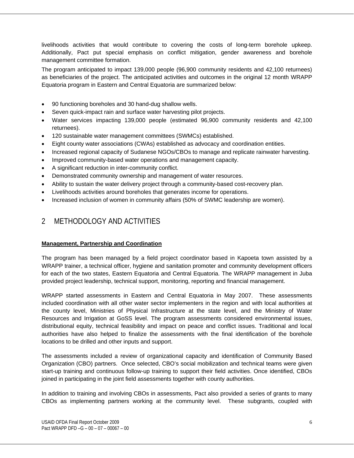livelihoods activities that would contribute to covering the costs of long-term borehole upkeep. Additionally, Pact put special emphasis on conflict mitigation, gender awareness and borehole management committee formation.

The program anticipated to impact 139,000 people (96,900 community residents and 42,100 returnees) as beneficiaries of the project. The anticipated activities and outcomes in the original 12 month WRAPP Equatoria program in Eastern and Central Equatoria are summarized below:

- 90 functioning boreholes and 30 hand-dug shallow wells.
- Seven quick-impact rain and surface water harvesting pilot projects.
- Water services impacting 139,000 people (estimated 96,900 community residents and 42,100 returnees).
- 120 sustainable water management committees (SWMCs) established.
- Eight county water associations (CWAs) established as advocacy and coordination entities.
- Increased regional capacity of Sudanese NGOs/CBOs to manage and replicate rainwater harvesting.
- Improved community-based water operations and management capacity.
- A significant reduction in inter-community conflict.
- Demonstrated community ownership and management of water resources.
- Ability to sustain the water delivery project through a community-based cost-recovery plan.
- Livelihoods activities around boreholes that generates income for operations.
- Increased inclusion of women in community affairs (50% of SWMC leadership are women).

## 2 METHODOLOGY AND ACTIVITIES

#### **Management, Partnership and Coordination**

The program has been managed by a field project coordinator based in Kapoeta town assisted by a WRAPP trainer, a technical officer, hygiene and sanitation promoter and community development officers for each of the two states, Eastern Equatoria and Central Equatoria. The WRAPP management in Juba provided project leadership, technical support, monitoring, reporting and financial management.

WRAPP started assessments in Eastern and Central Equatoria in May 2007. These assessments included coordination with all other water sector implementers in the region and with local authorities at the county level, Ministries of Physical Infrastructure at the state level, and the Ministry of Water Resources and Irrigation at GoSS level. The program assessments considered environmental issues, distributional equity, technical feasibility and impact on peace and conflict issues. Traditional and local authorities have also helped to finalize the assessments with the final identification of the borehole locations to be drilled and other inputs and support.

The assessments included a review of organizational capacity and identification of Community Based Organization (CBO) partners. Once selected, CBO's social mobilization and technical teams were given start-up training and continuous follow-up training to support their field activities. Once identified, CBOs joined in participating in the joint field assessments together with county authorities.

In addition to training and involving CBOs in assessments, Pact also provided a series of grants to many CBOs as implementing partners working at the community level. These subgrants, coupled with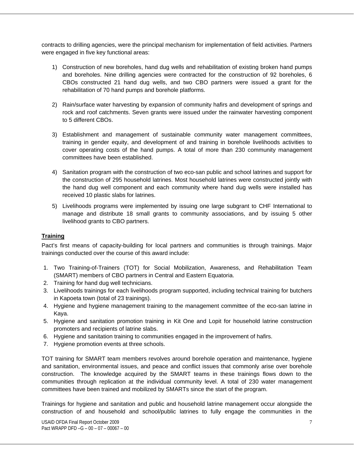contracts to drilling agencies, were the principal mechanism for implementation of field activities. Partners were engaged in five key functional areas:

- 1) Construction of new boreholes, hand dug wells and rehabilitation of existing broken hand pumps and boreholes. Nine drilling agencies were contracted for the construction of 92 boreholes, 6 CBOs constructed 21 hand dug wells, and two CBO partners were issued a grant for the rehabilitation of 70 hand pumps and borehole platforms.
- 2) Rain/surface water harvesting by expansion of community hafirs and development of springs and rock and roof catchments. Seven grants were issued under the rainwater harvesting component to 5 different CBOs.
- 3) Establishment and management of sustainable community water management committees, training in gender equity, and development of and training in borehole livelihoods activities to cover operating costs of the hand pumps. A total of more than 230 community management committees have been established.
- 4) Sanitation program with the construction of two eco-san public and school latrines and support for the construction of 295 household latrines. Most household latrines were constructed jointly with the hand dug well component and each community where hand dug wells were installed has received 10 plastic slabs for latrines.
- 5) Livelihoods programs were implemented by issuing one large subgrant to CHF International to manage and distribute 18 small grants to community associations, and by issuing 5 other livelihood grants to CBO partners.

#### **Training**

Pact's first means of capacity-building for local partners and communities is through trainings. Major trainings conducted over the course of this award include:

- 1. Two Training-of-Trainers (TOT) for Social Mobilization, Awareness, and Rehabilitation Team (SMART) members of CBO partners in Central and Eastern Equatoria.
- 2. Training for hand dug well technicians.
- 3. Livelihoods trainings for each livelihoods program supported, including technical training for butchers in Kapoeta town (total of 23 trainings).
- 4. Hygiene and hygiene management training to the management committee of the eco-san latrine in Kaya.
- 5. Hygiene and sanitation promotion training in Kit One and Lopit for household latrine construction promoters and recipients of latrine slabs.
- 6. Hygiene and sanitation training to communities engaged in the improvement of hafirs.
- 7. Hygiene promotion events at three schools.

TOT training for SMART team members revolves around borehole operation and maintenance, hygiene and sanitation, environmental issues, and peace and conflict issues that commonly arise over borehole construction. The knowledge acquired by the SMART teams in these trainings flows down to the communities through replication at the individual community level. A total of 230 water management committees have been trained and mobilized by SMARTs since the start of the program.

Trainings for hygiene and sanitation and public and household latrine management occur alongside the construction of and household and school/public latrines to fully engage the communities in the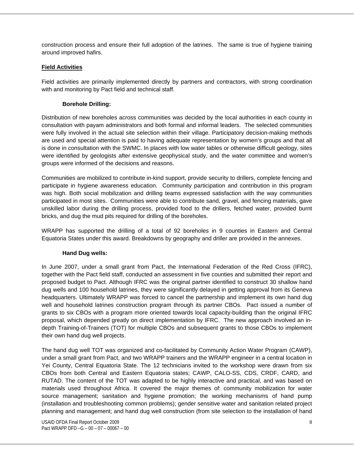construction process and ensure their full adoption of the latrines. The same is true of hygiene training around improved hafirs.

#### **Field Activities**

Field activities are primarily implemented directly by partners and contractors, with strong coordination with and monitoring by Pact field and technical staff.

#### **Borehole Drilling:**

Distribution of new boreholes across communities was decided by the local authorities in each county in consultation with payam administrators and both formal and informal leaders. The selected communities were fully involved in the actual site selection within their village. Participatory decision-making methods are used and special attention is paid to having adequate representation by women's groups and that all is done in consultation with the SWMC. In places with low water tables or otherwise difficult geology, sites were identified by geologists after extensive geophysical study, and the water committee and women's groups were informed of the decisions and reasons.

Communities are mobilized to contribute in-kind support, provide security to drillers, complete fencing and participate in hygiene awareness education. Community participation and contribution in this program was high. Both social mobilization and drilling teams expressed satisfaction with the way communities participated in most sites. Communities were able to contribute sand, gravel, and fencing materials, gave unskilled labor during the drilling process, provided food to the drillers, fetched water, provided burnt bricks, and dug the mud pits required for drilling of the boreholes.

WRAPP has supported the drilling of a total of 92 boreholes in 9 counties in Eastern and Central Equatoria States under this award. Breakdowns by geography and driller are provided in the annexes.

#### **Hand Dug wells:**

In June 2007, under a small grant from Pact, the International Federation of the Red Cross (IFRC), together with the Pact field staff, conducted an assessment in five counties and submitted their report and proposed budget to Pact. Although IFRC was the original partner identified to construct 30 shallow hand dug wells and 100 household latrines, they were significantly delayed in getting approval from its Geneva headquarters. Ultimately WRAPP was forced to cancel the partnership and implement its own hand dug well and household latrines construction program through its partner CBOs. Pact issued a number of grants to six CBOs with a program more oriented towards local capacity-building than the original IFRC proposal, which depended greatly on direct implementation by IFRC. The new approach involved an indepth Training-of-Trainers (TOT) for multiple CBOs and subsequent grants to those CBOs to implement their own hand dug well projects.

The hand dug well TOT was organized and co-facilitated by Community Action Water Program (CAWP), under a small grant from Pact, and two WRAPP trainers and the WRAPP engineer in a central location in Yei County, Central Equatoria State. The 12 technicians invited to the workshop were drawn from six CBOs from both Central and Eastern Equatoria states; CAWP, CALO-SS, CDS, CRDF, CARD, and RUTAD. The content of the TOT was adapted to be highly interactive and practical, and was based on materials used throughout Africa. It covered the major themes of: community mobilization for water source management; sanitation and hygiene promotion; the working mechanisms of hand pump (installation and troubleshooting common problems); gender sensitive water and sanitation related project planning and management; and hand dug well construction (from site selection to the installation of hand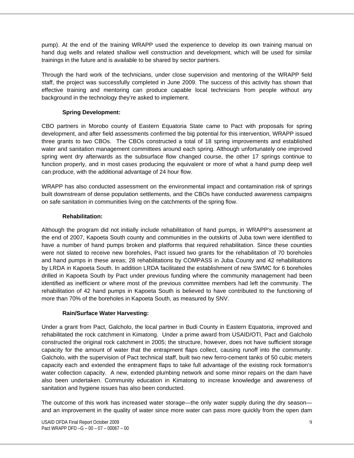pump). At the end of the training WRAPP used the experience to develop its own training manual on hand dug wells and related shallow well construction and development, which will be used for similar trainings in the future and is available to be shared by sector partners.

Through the hard work of the technicians, under close supervision and mentoring of the WRAPP field staff, the project was successfully completed in June 2009. The success of this activity has shown that effective training and mentoring can produce capable local technicians from people without any background in the technology they're asked to implement.

#### **Spring Development:**

CBO partners in Morobo county of Eastern Equatoria State came to Pact with proposals for spring development, and after field assessments confirmed the big potential for this intervention, WRAPP issued three grants to two CBOs. The CBOs constructed a total of 18 spring improvements and established water and sanitation management committees around each spring. Although unfortunately one improved spring went dry afterwards as the subsurface flow changed course, the other 17 springs continue to function properly, and in most cases producing the equivalent or more of what a hand pump deep well can produce, with the additional advantage of 24 hour flow.

WRAPP has also conducted assessment on the environmental impact and contamination risk of springs built downstream of dense population settlements, and the CBOs have conducted awareness campaigns on safe sanitation in communities living on the catchments of the spring flow.

#### **Rehabilitation:**

Although the program did not initially include rehabilitation of hand pumps, in WRAPP's assessment at the end of 2007, Kapoeta South county and communities in the outskirts of Juba town were identified to have a number of hand pumps broken and platforms that required rehabilitation. Since these counties were not slated to receive new boreholes, Pact issued two grants for the rehabilitation of 70 boreholes and hand pumps in these areas; 28 rehabilitations by COMPASS in Juba County and 42 rehabilitations by LRDA in Kapoeta South. In addition LRDA facilitated the establishment of new SWMC for 6 boreholes drilled in Kapoeta South by Pact under previous funding where the community management had been identified as inefficient or where most of the previous committee members had left the community. The rehabilitation of 42 hand pumps in Kapoeta South is believed to have contributed to the functioning of more than 70% of the boreholes in Kapoeta South, as measured by SNV.

#### **Rain/Surface Water Harvesting:**

Under a grant from Pact, Galcholo, the local partner in Budi County in Eastern Equatoria, improved and rehabilitated the rock catchment in Kimatong. Under a prime award from USAID/OTI, Pact and Galcholo constructed the original rock catchment in 2005; the structure, however, does not have sufficient storage capacity for the amount of water that the entrapment flaps collect, causing runoff into the community. Galcholo, with the supervision of Pact technical staff, built two new ferro-cement tanks of 50 cubic meters capacity each and extended the entrapment flaps to take full advantage of the existing rock formation's water collection capacity. A new, extended plumbing network and some minor repairs on the dam have also been undertaken. Community education in Kimatong to increase knowledge and awareness of sanitation and hygiene issues has also been conducted.

The outcome of this work has increased water storage—the only water supply during the dry season and an improvement in the quality of water since more water can pass more quickly from the open dam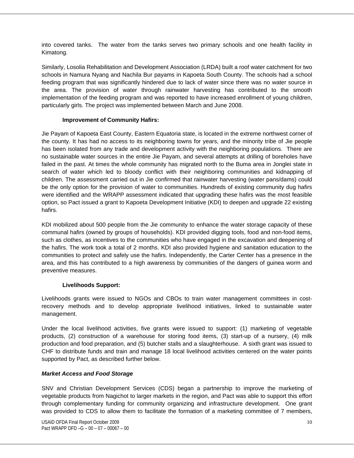into covered tanks. The water from the tanks serves two primary schools and one health facility in Kimatong.

Similarly, Losolia Rehabilitation and Development Association (LRDA) built a roof water catchment for two schools in Namura Nyang and Nachila Bur payams in Kapoeta South County. The schools had a school feeding program that was significantly hindered due to lack of water since there was no water source in the area. The provision of water through rainwater harvesting has contributed to the smooth implementation of the feeding program and was reported to have increased enrollment of young children, particularly girls. The project was implemented between March and June 2008.

#### **Improvement of Community Hafirs:**

Jie Payam of Kapoeta East County, Eastern Equatoria state, is located in the extreme northwest corner of the county. It has had no access to its neighboring towns for years, and the minority tribe of Jie people has been isolated from any trade and development activity with the neighboring populations. There are no sustainable water sources in the entire Jie Payam, and several attempts at drilling of boreholes have failed in the past. At times the whole community has migrated north to the Buma area in Jonglei state in search of water which led to bloody conflict with their neighboring communities and kidnapping of children. The assessment carried out in Jie confirmed that rainwater harvesting (water pans/dams) could be the only option for the provision of water to communities. Hundreds of existing community dug hafirs were identified and the WRAPP assessment indicated that upgrading these hafirs was the most feasible option, so Pact issued a grant to Kapoeta Development Initiative (KDI) to deepen and upgrade 22 existing hafirs.

KDI mobilized about 500 people from the Jie community to enhance the water storage capacity of these communal hafirs (owned by groups of households). KDI provided digging tools, food and non-food items, such as clothes, as incentives to the communities who have engaged in the excavation and deepening of the hafirs. The work took a total of 2 months. KDI also provided hygiene and sanitation education to the communities to protect and safely use the hafirs. Independently, the Carter Center has a presence in the area, and this has contributed to a high awareness by communities of the dangers of guinea worm and preventive measures.

#### **Livelihoods Support:**

Livelihoods grants were issued to NGOs and CBOs to train water management committees in costrecovery methods and to develop appropriate livelihood initiatives, linked to sustainable water management.

Under the local livelihood activities, five grants were issued to support: (1) marketing of vegetable products, (2) construction of a warehouse for storing food items, (3) start-up of a nursery, (4) milk production and food preparation, and (5) butcher stalls and a slaughterhouse. A sixth grant was issued to CHF to distribute funds and train and manage 18 local livelihood activities centered on the water points supported by Pact, as described further below.

#### *Market Access and Food Storage*

SNV and Christian Development Services (CDS) began a partnership to improve the marketing of vegetable products from Nagichot to larger markets in the region, and Pact was able to support this effort through complementary funding for community organizing and infrastructure development. One grant was provided to CDS to allow them to facilitate the formation of a marketing committee of 7 members,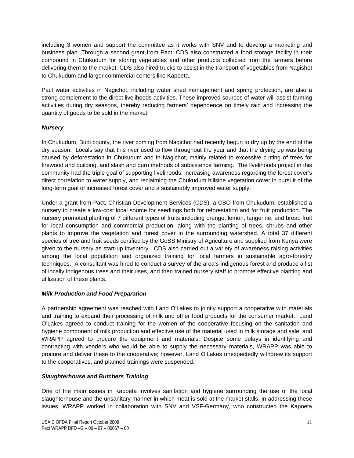including 3 women and support the committee as it works with SNV and to develop a marketing and business plan. Through a second grant from Pact, CDS also constructed a food storage facility in their compound in Chukudum for storing vegetables and other products collected from the farmers before delivering them to the market. CDS also hired trucks to assist in the transport of vegetables from Nagishot to Chukudum and larger commercial centers like Kapoeta.

Pact water activities in Nagichot, including water shed management and spring protection, are also a strong complement to the direct livelihoods activities. These improved sources of water will assist farming activities during dry seasons, thereby reducing farmers' dependence on timely rain and increasing the quantity of goods to be sold in the market.

#### *Nursery*

In Chukudum, Budi county, the river coming from Nagichot had recently begun to dry up by the end of the dry season. Locals say that this river used to flow throughout the year and that the drying up was being caused by deforestation in Chukudum and in Nagichot, mainly related to excessive cutting of trees for firewood and building, and slash and burn methods of subsistence farming. The livelihoods project in this community had the triple goal of supporting livelihoods, increasing awareness regarding the forest cover's direct correlation to water supply, and reclaiming the Chukudum hillside vegetation cover in pursuit of the long-term goal of increased forest cover and a sustainably improved water supply.

Under a grant from Pact, Christian Development Services (CDS), a CBO from Chukudum, established a nursery to create a low-cost local source for seedlings both for reforestation and for fruit production. The nursery promoted planting of 7 different types of fruits including orange, lemon, tangerine, and bread fruit for local consumption and commercial production, along with the planting of trees, shrubs and other plants to improve the vegetation and forest cover in the surrounding watershed. A total 37 different species of tree and fruit seeds certified by the GoSS Ministry of Agriculture and supplied from Kenya were given to the nursery as start-up inventory. CDS also carried out a variety of awareness raising activities among the local population and organized training for local farmers in sustainable agro-forestry techniques. A consultant was hired to conduct a survey of the area's indigenous forest and produce a list of locally indigenous trees and their uses, and then trained nursery staff to promote effective planting and utilization of these plants.

#### *Milk Production and Food Preparation*

A partnership agreement was reached with Land O'Lakes to jointly support a cooperative with materials and training to expand their processing of milk and other food products for the consumer market. Land O'Lakes agreed to conduct training for the women of the cooperative focusing on the sanitation and hygiene component of milk production and effective use of the material used in milk storage and sale, and WRAPP agreed to procure the equipment and materials. Despite some delays in identifying and contracting with venders who would be able to supply the necessary materials, WRAPP was able to procure and deliver these to the cooperative; however, Land O'Lakes unexpectedly withdrew its support to the cooperatives, and planned trainings were suspended.

#### *Slaughterhouse and Butchers Training*

One of the main issues in Kapoeta involves sanitation and hygiene surrounding the use of the local slaughterhouse and the unsanitary manner in which meat is sold at the market stalls. In addressing these issues, WRAPP worked in collaboration with SNV and VSF-Germany, who constructed the Kapoeta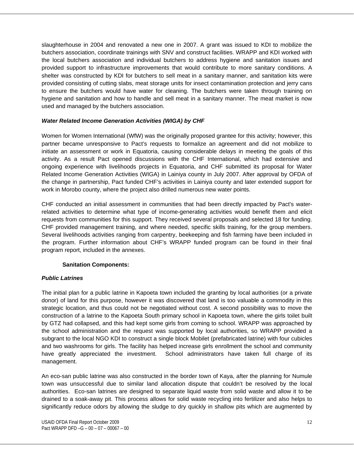slaughterhouse in 2004 and renovated a new one in 2007. A grant was issued to KDI to mobilize the butchers association, coordinate trainings with SNV and construct facilities. WRAPP and KDI worked with the local butchers association and individual butchers to address hygiene and sanitation issues and provided support to infrastructure improvements that would contribute to more sanitary conditions. A shelter was constructed by KDI for butchers to sell meat in a sanitary manner, and sanitation kits were provided consisting of cutting slabs, meat storage units for insect contamination protection and jerry cans to ensure the butchers would have water for cleaning. The butchers were taken through training on hygiene and sanitation and how to handle and sell meat in a sanitary manner. The meat market is now used and managed by the butchers association.

#### *Water Related Income Generation Activities (WIGA) by CHF*

Women for Women International (WfW) was the originally proposed grantee for this activity; however, this partner became unresponsive to Pact's requests to formalize an agreement and did not mobilize to initiate an assessment or work in Equatoria, causing considerable delays in meeting the goals of this activity. As a result Pact opened discussions with the CHF International, which had extensive and ongoing experience with livelihoods projects in Equatoria, and CHF submitted its proposal for Water Related Income Generation Activities (WIGA) in Lainiya county in July 2007. After approval by OFDA of the change in partnership, Pact funded CHF's activities in Lainiya county and later extended support for work in Morobo county, where the project also drilled numerous new water points.

CHF conducted an initial assessment in communities that had been directly impacted by Pact's waterrelated activities to determine what type of income-generating activities would benefit them and elicit requests from communities for this support. They received several proposals and selected 18 for funding. CHF provided management training, and where needed, specific skills training, for the group members. Several livelihoods activities ranging from carpentry, beekeeping and fish farming have been included in the program. Further information about CHF's WRAPP funded program can be found in their final program report, included in the annexes.

#### **Sanitation Components:**

#### *Public Latrines*

The initial plan for a public latrine in Kapoeta town included the granting by local authorities (or a private donor) of land for this purpose, however it was discovered that land is too valuable a commodity in this strategic location, and thus could not be negotiated without cost. A second possibility was to move the construction of a latrine to the Kapoeta South primary school in Kapoeta town, where the girls toilet built by GTZ had collapsed, and this had kept some girls from coming to school. WRAPP was approached by the school administration and the request was supported by local authorities, so WRAPP provided a subgrant to the local NGO KDI to construct a single block Mobilet (prefabricated latrine) with four cubicles and two washrooms for girls. The facility has helped increase girls enrollment the school and community have greatly appreciated the investment. School administrators have taken full charge of its management.

An eco-san public latrine was also constructed in the border town of Kaya, after the planning for Numule town was unsuccessful due to similar land allocation dispute that couldn't be resolved by the local authorities. Eco-san latrines are designed to separate liquid waste from solid waste and allow it to be drained to a soak-away pit. This process allows for solid waste recycling into fertilizer and also helps to significantly reduce odors by allowing the sludge to dry quickly in shallow pits which are augmented by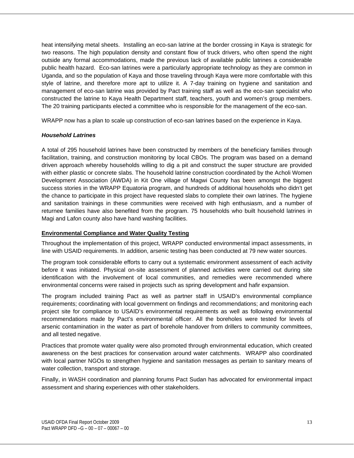heat intensifying metal sheets. Installing an eco-san latrine at the border crossing in Kaya is strategic for two reasons. The high population density and constant flow of truck drivers, who often spend the night outside any formal accommodations, made the previous lack of available public latrines a considerable public health hazard. Eco-san latrines were a particularly appropriate technology as they are common in Uganda, and so the population of Kaya and those traveling through Kaya were more comfortable with this style of latrine, and therefore more apt to utilize it. A 7-day training on hygiene and sanitation and management of eco-san latrine was provided by Pact training staff as well as the eco-san specialist who constructed the latrine to Kaya Health Department staff, teachers, youth and women's group members. The 20 training participants elected a committee who is responsible for the management of the eco-san.

WRAPP now has a plan to scale up construction of eco-san latrines based on the experience in Kaya.

#### *Household Latrines*

A total of 295 household latrines have been constructed by members of the beneficiary families through facilitation, training, and construction monitoring by local CBOs. The program was based on a demand driven approach whereby households willing to dig a pit and construct the super structure are provided with either plastic or concrete slabs. The household latrine construction coordinated by the Acholi Women Development Association (AWDA) in Kit One village of Magwi County has been amongst the biggest success stories in the WRAPP Equatoria program, and hundreds of additional households who didn't get the chance to participate in this project have requested slabs to complete their own latrines. The hygiene and sanitation trainings in these communities were received with high enthusiasm, and a number of returnee families have also benefited from the program. 75 households who built household latrines in Magi and Lafon county also have hand washing facilities.

#### **Environmental Compliance and Water Quality Testing**

Throughout the implementation of this project, WRAPP conducted environmental impact assessments, in line with USAID requirements. In addition, arsenic testing has been conducted at 79 new water sources.

The program took considerable efforts to carry out a systematic environment assessment of each activity before it was initiated. Physical on-site assessment of planned activities were carried out during site identification with the involvement of local communities, and remedies were recommended where environmental concerns were raised in projects such as spring development and hafir expansion.

The program included training Pact as well as partner staff in USAID's environmental compliance requirements; coordinating with local government on findings and recommendations; and monitoring each project site for compliance to USAID's environmental requirements as well as following environmental recommendations made by Pact's environmental officer. All the boreholes were tested for levels of arsenic contamination in the water as part of borehole handover from drillers to community committees, and all tested negative.

Practices that promote water quality were also promoted through environmental education, which created awareness on the best practices for conservation around water catchments. WRAPP also coordinated with local partner NGOs to strengthen hygiene and sanitation messages as pertain to sanitary means of water collection, transport and storage.

Finally, in WASH coordination and planning forums Pact Sudan has advocated for environmental impact assessment and sharing experiences with other stakeholders.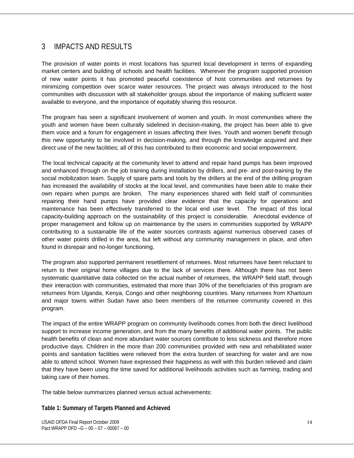## 3 IMPACTS AND RESULTS

The provision of water points in most locations has spurred local development in terms of expanding market centers and building of schools and health facilities. Wherever the program supported provision of new water points it has promoted peaceful coexistence of host communities and returnees by minimizing competition over scarce water resources. The project was always introduced to the host communities with discussion with all stakeholder groups about the importance of making sufficient water available to everyone, and the importance of equitably sharing this resource.

The program has seen a significant involvement of women and youth. In most communities where the youth and women have been culturally sidelined in decision-making, the project has been able to give them voice and a forum for engagement in issues affecting their lives. Youth and women benefit through this new opportunity to be involved in decision-making, and through the knowledge acquired and their direct use of the new facilities; all of this has contributed to their economic and social empowerment.

The local technical capacity at the community level to attend and repair hand pumps has been improved and enhanced through on the job training during installation by drillers, and pre- and post-training by the social mobilization team. Supply of spare parts and tools by the drillers at the end of the drilling program has increased the availability of stocks at the local level, and communities have been able to make their own repairs when pumps are broken. The many experiences shared with field staff of communities repairing their hand pumps have provided clear evidence that the capacity for operations and maintenance has been effectively transferred to the local end user level. The impact of this local capacity-building approach on the sustainability of this project is considerable. Anecdotal evidence of proper management and follow up on maintenance by the users in communities supported by WRAPP contributing to a sustainable life of the water sources contrasts against numerous observed cases of other water points drilled in the area, but left without any community management in place, and often found in disrepair and no-longer functioning.

The program also supported permanent resettlement of returnees. Most returnees have been reluctant to return to their original home villages due to the lack of services there. Although there has not been systematic quantitative data collected on the actual number of returnees, the WRAPP field staff, through their interaction with communities, estimated that more than 30% of the beneficiaries of this program are returnees from Uganda, Kenya, Congo and other neighboring countries. Many returnees from Khartoum and major towns within Sudan have also been members of the returnee community covered in this program.

The impact of the entire WRAPP program on community livelihoods comes from both the direct livelihood support to increase income generation, and from the many benefits of additional water points. The public health benefits of clean and more abundant water sources contribute to less sickness and therefore more productive days. Children in the more than 200 communities provided with new and rehabilitated water points and sanitation facilities were relieved from the extra burden of searching for water and are now able to attend school. Women have expressed their happiness as well with this burden relieved and claim that they have been using the time saved for additional livelihoods activities such as farming, trading and taking care of their homes.

The table below summarizes planned versus actual achievements:

**Table 1: Summary of Targets Planned and Achieved**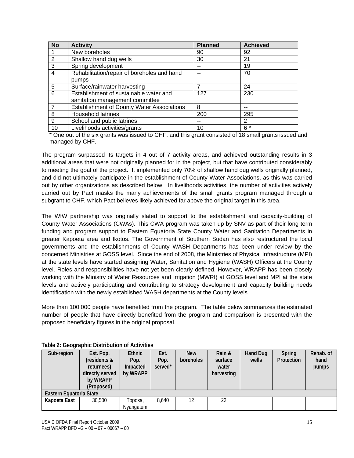| <b>No</b>      | <b>Activity</b>                                   | <b>Planned</b> | <b>Achieved</b> |
|----------------|---------------------------------------------------|----------------|-----------------|
|                | New boreholes                                     | 90             | 92              |
| 2              | Shallow hand dug wells                            | 30             | 21              |
| 3              | Spring development                                |                | 19              |
| $\overline{4}$ | Rehabilitation/repair of boreholes and hand       |                | 70              |
|                | pumps                                             |                |                 |
| 5              | Surface/rainwater harvesting                      |                | 24              |
| 6              | Establishment of sustainable water and            | 127            | 230             |
|                | sanitation management committee                   |                |                 |
| 7              | <b>Establishment of County Water Associations</b> | 8              |                 |
| 8              | <b>Household latrines</b>                         | 200            | 295             |
| 9              | School and public latrines                        |                | 2               |
| 10             | Livelihoods activities/grants                     | 10             | 6 *             |

\* One out of the six grants was issued to CHF, and this grant consisted of 18 small grants issued and managed by CHF.

The program surpassed its targets in 4 out of 7 activity areas, and achieved outstanding results in 3 additional areas that were not originally planned for in the project, but that have contributed considerably to meeting the goal of the project. It implemented only 70% of shallow hand dug wells originally planned, and did not ultimately participate in the establishment of County Water Associations, as this was carried out by other organizations as described below. In livelihoods activities, the number of activities actively carried out by Pact masks the many achievements of the small grants program managed through a subgrant to CHF, which Pact believes likely achieved far above the original target in this area.

The WfW partnership was originally slated to support to the establishment and capacity-building of County Water Associations (CWAs). This CWA program was taken up by SNV as part of their long term funding and program support to Eastern Equatoria State County Water and Sanitation Departments in greater Kapoeta area and Ikotos. The Government of Southern Sudan has also restructured the local governments and the establishments of County WASH Departments has been under review by the concerned Ministries at GOSS level. Since the end of 2008, the Ministries of Physical Infrastructure (MPI) at the state levels have started assigning Water, Sanitation and Hygiene (WASH) Officers at the County level. Roles and responsibilities have not yet been clearly defined. However, WRAPP has been closely working with the Ministry of Water Resources and Irrigation (MWRI) at GOSS level and MPI at the state levels and actively participating and contributing to strategy development and capacity building needs identification with the newly established WASH departments at the County levels.

More than 100,000 people have benefited from the program. The table below summarizes the estimated number of people that have directly benefited from the program and comparison is presented with the proposed beneficiary figures in the original proposal.

| Sub-region              | Est. Pop.<br>(residents &<br>returnees)<br>directly served<br>by WRAPP<br>(Proposed) | <b>Ethnic</b><br>Pop.<br>Impacted<br>by WRAPP | Est.<br>Pop.<br>served* | <b>New</b><br>boreholes | Rain &<br>surface<br>water<br>harvesting | Hand Dug<br>wells | Spring<br>Protection | Rehab. of<br>hand<br>pumps |
|-------------------------|--------------------------------------------------------------------------------------|-----------------------------------------------|-------------------------|-------------------------|------------------------------------------|-------------------|----------------------|----------------------------|
| Eastern Equatoria State |                                                                                      |                                               |                         |                         |                                          |                   |                      |                            |
| Kapoeta East            | 30,500                                                                               | Toposa,<br>Nyangatum                          | 8,640                   | 12                      | 22                                       |                   |                      |                            |

**Table 2: Geographic Distribution of Activities**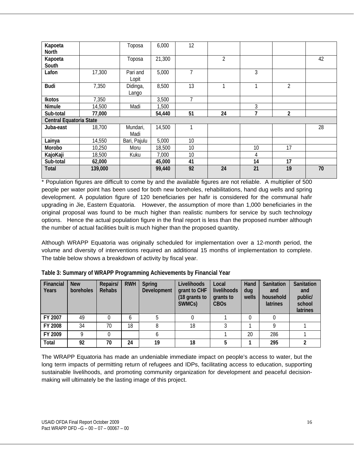| Kapoeta<br>North        |         | Toposa            | 6,000  | 12 |                |    |    |    |
|-------------------------|---------|-------------------|--------|----|----------------|----|----|----|
| Kapoeta<br>South        |         | Toposa            | 21,300 |    | $\overline{2}$ |    |    | 42 |
| Lafon                   | 17,300  | Pari and<br>Lopit | 5,000  | 7  |                | 3  |    |    |
| <b>Budi</b>             | 7,350   | Didinga,<br>Lango | 8,500  | 13 | 1              |    | 2  |    |
| Ikotos                  | 7,350   |                   | 3,500  | 7  |                |    |    |    |
| Nimule                  | 14,500  | Madi              | 1,500  |    |                | 3  |    |    |
| Sub-total               | 77,000  |                   | 54,440 | 51 | 24             | 7  | 2  |    |
| Central Equatoria State |         |                   |        |    |                |    |    |    |
| Juba-east               | 18,700  | Mundari,<br>Madi  | 14,500 |    |                |    |    | 28 |
| Lainya                  | 14,550  | Bari, Pajulu      | 5,000  | 10 |                |    |    |    |
| Morobo                  | 10,250  | Moru              | 18,500 | 10 |                | 10 | 17 |    |
| KajoKaji                | 18,500  | Kuku              | 7,000  | 10 |                | 4  |    |    |
| Sub-total               | 62,000  |                   | 45,000 | 41 |                | 14 | 17 |    |
| <b>Total</b>            | 139,000 |                   | 99,440 | 92 | 24             | 21 | 19 | 70 |

\* Population figures are difficult to come by and the available figures are not reliable. A multiplier of 500 people per water point has been used for both new boreholes, rehabilitations, hand dug wells and spring development. A population figure of 120 beneficiaries per hafir is considered for the communal hafir upgrading in Jie, Eastern Equatoria. However, the assumption of more than 1,000 beneficiaries in the original proposal was found to be much higher than realistic numbers for service by such technology options. Hence the actual population figure in the final report is less than the proposed number although the number of actual facilities built is much higher than the proposed quantity.

Although WRAPP Equatoria was originally scheduled for implementation over a 12-month period, the volume and diversity of interventions required an additional 15 months of implementation to complete. The table below shows a breakdown of activity by fiscal year.

| Financial<br>Years | <b>New</b><br>boreholes | Repairs/<br><b>Rehabs</b> | <b>RWH</b> | Spring<br>Development | Livelihoods<br>grant to CHF<br>(18 grants to<br>SWMCs) | Local<br>livelihoods<br>grants to<br><b>CBO<sub>S</sub></b> | Hand<br>dug<br>wells | Sanitation<br>and<br>household<br>latrines | Sanitation<br>and<br>public/<br>school<br>latrines |
|--------------------|-------------------------|---------------------------|------------|-----------------------|--------------------------------------------------------|-------------------------------------------------------------|----------------------|--------------------------------------------|----------------------------------------------------|
| FY 2007            | 49                      |                           | 6          |                       |                                                        |                                                             |                      |                                            |                                                    |
| FY 2008            | 34                      | 70                        | 18         |                       | 18                                                     |                                                             |                      | o                                          |                                                    |
| FY 2009            |                         |                           |            |                       |                                                        |                                                             | 20                   | 286                                        |                                                    |
| <b>Total</b>       | 92                      | 70                        | 24         | 19                    | 18                                                     |                                                             |                      | 295                                        |                                                    |

**Table 3: Summary of WRAPP Programming Achievements by Financial Year**

The WRAPP Equatoria has made an undeniable immediate impact on people's access to water, but the long term impacts of permitting return of refugees and IDPs, facilitating access to education, supporting sustainable livelihoods, and promoting community organization for development and peaceful decisionmaking will ultimately be the lasting image of this project.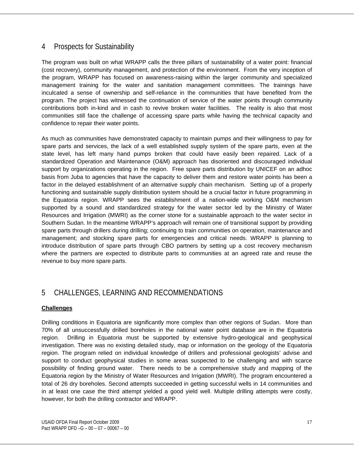### 4 Prospects for Sustainability

The program was built on what WRAPP calls the three pillars of sustainability of a water point: financial (cost recovery), community management, and protection of the environment. From the very inception of the program, WRAPP has focused on awareness-raising within the larger community and specialized management training for the water and sanitation management committees. The trainings have inculcated a sense of ownership and self-reliance in the communities that have benefited from the program. The project has witnessed the continuation of service of the water points through community contributions both in-kind and in cash to revive broken water facilities. The reality is also that most communities still face the challenge of accessing spare parts while having the technical capacity and confidence to repair their water points.

As much as communities have demonstrated capacity to maintain pumps and their willingness to pay for spare parts and services, the lack of a well established supply system of the spare parts, even at the state level, has left many hand pumps broken that could have easily been repaired. Lack of a standardized Operation and Maintenance (O&M) approach has disoriented and discouraged individual support by organizations operating in the region. Free spare parts distribution by UNICEF on an adhoc basis from Juba to agencies that have the capacity to deliver them and restore water points has been a factor in the delayed establishment of an alternative supply chain mechanism. Setting up of a properly functioning and sustainable supply distribution system should be a crucial factor in future programming in the Equatoria region. WRAPP sees the establishment of a nation-wide working O&M mechanism supported by a sound and standardized strategy for the water sector led by the Ministry of Water Resources and Irrigation (MWRI) as the corner stone for a sustainable approach to the water sector in Southern Sudan. In the meantime WRAPP's approach will remain one of transitional support by providing spare parts through drillers during drilling; continuing to train communities on operation, maintenance and management; and stocking spare parts for emergencies and critical needs. WRAPP is planning to introduce distribution of spare parts through CBO partners by setting up a cost recovery mechanism where the partners are expected to distribute parts to communities at an agreed rate and reuse the revenue to buy more spare parts.

## 5 CHALLENGES, LEARNING AND RECOMMENDATIONS

#### **Challenges**

Drilling conditions in Equatoria are significantly more complex than other regions of Sudan. More than 70% of all unsuccessfully drilled boreholes in the national water point database are in the Equatoria region. Drilling in Equatoria must be supported by extensive hydro-geological and geophysical investigation. There was no existing detailed study, map or information on the geology of the Equatoria region. The program relied on individual knowledge of drillers and professional geologists' advise and support to conduct geophysical studies in some areas suspected to be challenging and with scarce possibility of finding ground water. There needs to be a comprehensive study and mapping of the Equatoria region by the Ministry of Water Resources and Irrigation (MWRI). The program encountered a total of 26 dry boreholes. Second attempts succeeded in getting successful wells in 14 communities and in at least one case the third attempt yielded a good yield well. Multiple drilling attempts were costly, however, for both the drilling contractor and WRAPP.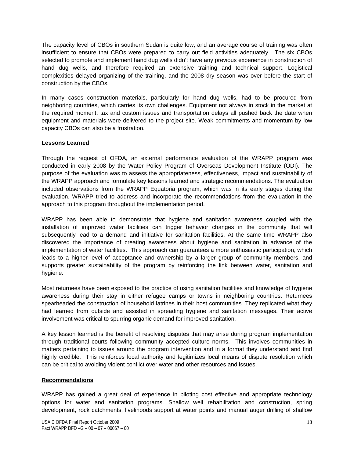The capacity level of CBOs in southern Sudan is quite low, and an average course of training was often insufficient to ensure that CBOs were prepared to carry out field activities adequately. The six CBOs selected to promote and implement hand dug wells didn't have any previous experience in construction of hand dug wells, and therefore required an extensive training and technical support. Logistical complexities delayed organizing of the training, and the 2008 dry season was over before the start of construction by the CBOs.

In many cases construction materials, particularly for hand dug wells, had to be procured from neighboring countries, which carries its own challenges. Equipment not always in stock in the market at the required moment, tax and custom issues and transportation delays all pushed back the date when equipment and materials were delivered to the project site. Weak commitments and momentum by low capacity CBOs can also be a frustration.

#### **Lessons Learned**

Through the request of OFDA, an external performance evaluation of the WRAPP program was conducted in early 2008 by the Water Policy Program of Overseas Development Institute (ODI). The purpose of the evaluation was to assess the appropriateness, effectiveness, impact and sustainability of the WRAPP approach and formulate key lessons learned and strategic recommendations. The evaluation included observations from the WRAPP Equatoria program, which was in its early stages during the evaluation. WRAPP tried to address and incorporate the recommendations from the evaluation in the approach to this program throughout the implementation period.

WRAPP has been able to demonstrate that hygiene and sanitation awareness coupled with the installation of improved water facilities can trigger behavior changes in the community that will subsequently lead to a demand and initiative for sanitation facilities. At the same time WRAPP also discovered the importance of creating awareness about hygiene and sanitation in advance of the implementation of water facilities. This approach can guarantees a more enthusiastic participation, which leads to a higher level of acceptance and ownership by a larger group of community members, and supports greater sustainability of the program by reinforcing the link between water, sanitation and hygiene.

Most returnees have been exposed to the practice of using sanitation facilities and knowledge of hygiene awareness during their stay in either refugee camps or towns in neighboring countries. Returnees spearheaded the construction of household latrines in their host communities. They replicated what they had learned from outside and assisted in spreading hygiene and sanitation messages. Their active involvement was critical to spurring organic demand for improved sanitation.

A key lesson learned is the benefit of resolving disputes that may arise during program implementation through traditional courts following community accepted culture norms. This involves communities in matters pertaining to issues around the program intervention and in a format they understand and find highly credible. This reinforces local authority and legitimizes local means of dispute resolution which can be critical to avoiding violent conflict over water and other resources and issues.

#### **Recommendations**

WRAPP has gained a great deal of experience in piloting cost effective and appropriate technology options for water and sanitation programs. Shallow well rehabilitation and construction, spring development, rock catchments, livelihoods support at water points and manual auger drilling of shallow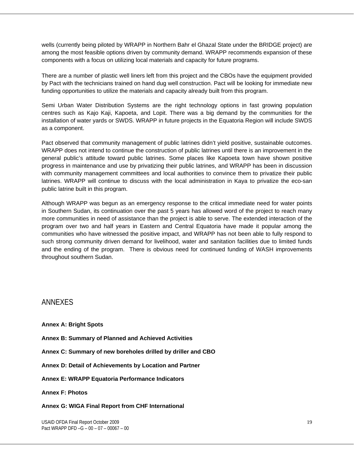wells (currently being piloted by WRAPP in Northern Bahr el Ghazal State under the BRIDGE project) are among the most feasible options driven by community demand. WRAPP recommends expansion of these components with a focus on utilizing local materials and capacity for future programs.

There are a number of plastic well liners left from this project and the CBOs have the equipment provided by Pact with the technicians trained on hand dug well construction. Pact will be looking for immediate new funding opportunities to utilize the materials and capacity already built from this program.

Semi Urban Water Distribution Systems are the right technology options in fast growing population centres such as Kajo Kaji, Kapoeta, and Lopit. There was a big demand by the communities for the installation of water yards or SWDS. WRAPP in future projects in the Equatoria Region will include SWDS as a component.

Pact observed that community management of public latrines didn't yield positive, sustainable outcomes. WRAPP does not intend to continue the construction of public latrines until there is an improvement in the general public's attitude toward public latrines. Some places like Kapoeta town have shown positive progress in maintenance and use by privatizing their public latrines, and WRAPP has been in discussion with community management committees and local authorities to convince them to privatize their public latrines. WRAPP will continue to discuss with the local administration in Kaya to privatize the eco-san public latrine built in this program.

Although WRAPP was begun as an emergency response to the critical immediate need for water points in Southern Sudan, its continuation over the past 5 years has allowed word of the project to reach many more communities in need of assistance than the project is able to serve. The extended interaction of the program over two and half years in Eastern and Central Equatoria have made it popular among the communities who have witnessed the positive impact, and WRAPP has not been able to fully respond to such strong community driven demand for livelihood, water and sanitation facilities due to limited funds and the ending of the program. There is obvious need for continued funding of WASH improvements throughout southern Sudan.

#### ANNEXES

**Annex A: Bright Spots** 

- **Annex B: Summary of Planned and Achieved Activities**
- **Annex C: Summary of new boreholes drilled by driller and CBO**
- **Annex D: Detail of Achievements by Location and Partner**
- **Annex E: WRAPP Equatoria Performance Indicators**

**Annex F: Photos** 

#### **Annex G: WIGA Final Report from CHF International**

USAID OFDA Final Report October 2009 Pact WRAPP DFD –G – 00 – 07 – 00067 – 00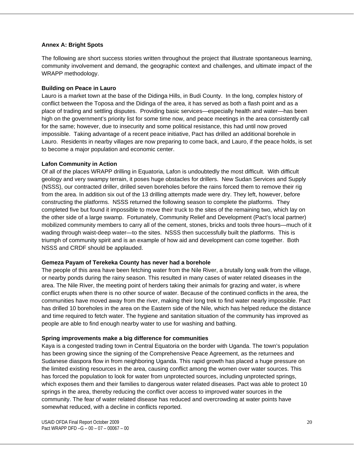#### **Annex A: Bright Spots**

The following are short success stories written throughout the project that illustrate spontaneous learning, community involvement and demand, the geographic context and challenges, and ultimate impact of the WRAPP methodology.

#### **Building on Peace in Lauro**

Lauro is a market town at the base of the Didinga Hills, in Budi County. In the long, complex history of conflict between the Toposa and the Didinga of the area, it has served as both a flash point and as a place of trading and settling disputes. Providing basic services—especially health and water—has been high on the government's priority list for some time now, and peace meetings in the area consistently call for the same; however, due to insecurity and some political resistance, this had until now proved impossible. Taking advantage of a recent peace initiative, Pact has drilled an additional borehole in Lauro. Residents in nearby villages are now preparing to come back, and Lauro, if the peace holds, is set to become a major population and economic center.

#### **Lafon Community in Action**

Of all of the places WRAPP drilling in Equatoria, Lafon is undoubtedly the most difficult. With difficult geology and very swampy terrain, it poses huge obstacles for drillers. New Sudan Services and Supply (NSSS), our contracted driller, drilled seven boreholes before the rains forced them to remove their rig from the area. In addition six out of the 13 drilling attempts made were dry. They left, however, before constructing the platforms. NSSS returned the following season to complete the platforms. They completed five but found it impossible to move their truck to the sites of the remaining two, which lay on the other side of a large swamp. Fortunately, Community Relief and Development (Pact's local partner) mobilized community members to carry all of the cement, stones, bricks and tools three hours—much of it wading through waist-deep water—to the sites. NSSS then successfully built the platforms. This is triumph of community spirit and is an example of how aid and development can come together. Both NSSS and CRDF should be applauded.

#### **Gemeza Payam of Terekeka County has never had a borehole**

The people of this area have been fetching water from the Nile River, a brutally long walk from the village, or nearby ponds during the rainy season. This resulted in many cases of water related diseases in the area. The Nile River, the meeting point of herders taking their animals for grazing and water, is where conflict erupts when there is no other source of water. Because of the continued conflicts in the area, the communities have moved away from the river, making their long trek to find water nearly impossible. Pact has drilled 10 boreholes in the area on the Eastern side of the Nile, which has helped reduce the distance and time required to fetch water. The hygiene and sanitation situation of the community has improved as people are able to find enough nearby water to use for washing and bathing.

#### **Spring improvements make a big difference for communities**

Kaya is a congested trading town in Central Equatoria on the border with Uganda. The town's population has been growing since the signing of the Comprehensive Peace Agreement, as the returnees and Sudanese diaspora flow in from neighboring Uganda. This rapid growth has placed a huge pressure on the limited existing resources in the area, causing conflict among the women over water sources. This has forced the population to look for water from unprotected sources, including unprotected springs, which exposes them and their families to dangerous water related diseases. Pact was able to protect 10 springs in the area, thereby reducing the conflict over access to improved water sources in the community. The fear of water related disease has reduced and overcrowding at water points have somewhat reduced, with a decline in conflicts reported.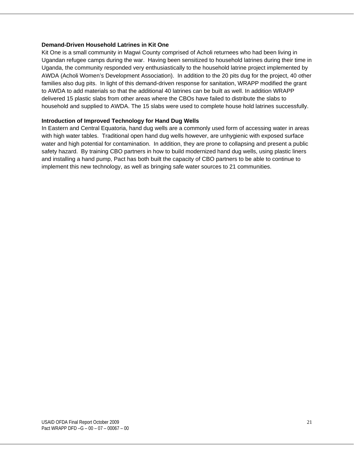#### **Demand-Driven Household Latrines in Kit One**

Kit One is a small community in Magwi County comprised of Acholi returnees who had been living in Ugandan refugee camps during the war. Having been sensitized to household latrines during their time in Uganda, the community responded very enthusiastically to the household latrine project implemented by AWDA (Acholi Women's Development Association). In addition to the 20 pits dug for the project, 40 other families also dug pits. In light of this demand-driven response for sanitation, WRAPP modified the grant to AWDA to add materials so that the additional 40 latrines can be built as well. In addition WRAPP delivered 15 plastic slabs from other areas where the CBOs have failed to distribute the slabs to household and supplied to AWDA. The 15 slabs were used to complete house hold latrines successfully.

#### **Introduction of Improved Technology for Hand Dug Wells**

In Eastern and Central Equatoria, hand dug wells are a commonly used form of accessing water in areas with high water tables. Traditional open hand dug wells however, are unhygienic with exposed surface water and high potential for contamination. In addition, they are prone to collapsing and present a public safety hazard. By training CBO partners in how to build modernized hand dug wells, using plastic liners and installing a hand pump, Pact has both built the capacity of CBO partners to be able to continue to implement this new technology, as well as bringing safe water sources to 21 communities.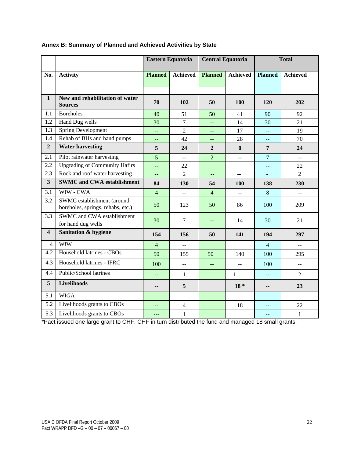|                         |                                                                 | Eastern Equatoria                             |                           | <b>Central Equatoria</b> |                 |                                               | <b>Total</b>              |
|-------------------------|-----------------------------------------------------------------|-----------------------------------------------|---------------------------|--------------------------|-----------------|-----------------------------------------------|---------------------------|
| No.                     | <b>Activity</b>                                                 | <b>Planned</b>                                | <b>Achieved</b>           | <b>Planned</b>           | <b>Achieved</b> | <b>Planned</b>                                | <b>Achieved</b>           |
|                         |                                                                 |                                               |                           |                          |                 |                                               |                           |
| $\mathbf{1}$            | New and rehabilitation of water<br><b>Sources</b>               | 70                                            | 102                       | 50                       | 100             | 120                                           | 202                       |
| 1.1                     | <b>Boreholes</b>                                                | 40                                            | 51                        | 50                       | 41              | 90                                            | 92                        |
| 1.2                     | Hand Dug wells                                                  | 30                                            | $\overline{7}$            | $\overline{a}$           | 14              | 30                                            | 21                        |
| 1.3                     | <b>Spring Development</b>                                       | $\mathord{\hspace{1pt}\text{--}\hspace{1pt}}$ | $\overline{2}$            | $-$                      | 17              | 44                                            | 19                        |
| 1.4                     | Rehab of BHs and hand pumps                                     | $\perp$ .                                     | 42                        | $--$                     | 28              | $\mathord{\hspace{1pt}\text{--}\hspace{1pt}}$ | 70                        |
| $\overline{2}$          | <b>Water harvesting</b>                                         | 5                                             | 24                        | $\overline{2}$           | $\bf{0}$        | $\overline{7}$                                | 24                        |
| 2.1                     | Pilot rainwater harvesting                                      | $\overline{5}$                                | LL.                       | $\overline{2}$           | --              | $\overline{7}$                                | <u></u>                   |
| 2.2                     | <b>Upgrading of Community Hafirs</b>                            | $\perp$ .                                     | 22                        |                          |                 | $\overline{a}$                                | 22                        |
| 2.3                     | Rock and roof water harvesting                                  | $\rightarrow$                                 | $\overline{2}$            | $\rightarrow$            | $\mathbb{L}^2$  | $\equiv$                                      | $\overline{2}$            |
| $\overline{\mathbf{3}}$ | <b>SWMC and CWA establishment</b>                               | 84                                            | 130                       | 54                       | 100             | 138                                           | 230                       |
| 3.1                     | WfW - CWA                                                       | $\overline{4}$                                | u.                        | $\overline{4}$           | ΞĒ,             | 8                                             | Щ.                        |
| 3.2                     | SWMC establishment (around<br>boreholes, springs, rehabs, etc.) | 50                                            | 123                       | 50                       | 86              | 100                                           | 209                       |
| $\overline{3.3}$        | SWMC and CWA establishment<br>for hand dug wells                | 30                                            | $\overline{7}$            | $--$                     | 14              | 30                                            | 21                        |
| $\overline{\mathbf{4}}$ | Sanitation & hygiene                                            | 154                                           | 156                       | 50                       | 141             | 194                                           | 297                       |
| 4                       | WfW                                                             | $\overline{4}$                                | 44                        |                          |                 | $\overline{4}$                                | $\mathbb{L}^{\mathbb{L}}$ |
| 4.2                     | Household latrines - CBOs                                       | 50                                            | 155                       | 50                       | 140             | 100                                           | 295                       |
| 4.3                     | Household latrines - IFRC                                       | 100                                           | $\mathbb{L}^{\mathbb{L}}$ |                          | $-$             | 100                                           | $-$                       |
| 4.4                     | Public/School latrines                                          | $-$                                           | $\mathbf{1}$              |                          | $\mathbf{1}$    | $\overline{a}$                                | $\overline{2}$            |
| $\overline{\mathbf{5}}$ | <b>Livelihoods</b>                                              | ۰.                                            | 5                         |                          | $18 *$          | --                                            | 23                        |
| 5.1                     | <b>WIGA</b>                                                     |                                               |                           |                          |                 |                                               |                           |
| 5.2                     | Livelihoods grants to CBOs                                      | $\mathord{\hspace{1pt}\text{--}\hspace{1pt}}$ | $\overline{4}$            |                          | 18              | $-$                                           | 22                        |
| 5.3                     | Livelihoods grants to CBOs                                      | ---                                           | 1                         |                          |                 | $-1$                                          | $\mathbf{1}$              |

#### **Annex B: Summary of Planned and Achieved Activities by State**

\*Pact issued one large grant to CHF. CHF in turn distributed the fund and managed 18 small grants.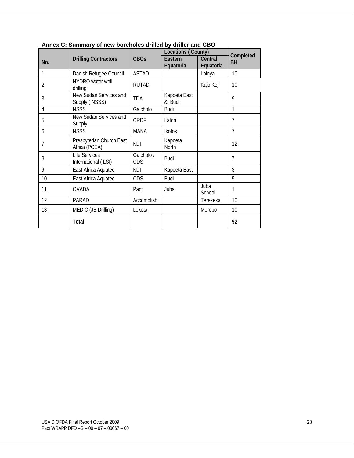|     |                                             |                   | Locations (County)     |                      | Completed      |
|-----|---------------------------------------------|-------------------|------------------------|----------------------|----------------|
| No. | <b>Drilling Contractors</b>                 | <b>CBOs</b>       | Eastern<br>Equatoria   | Central<br>Equatoria | <b>BH</b>      |
| 1   | Danish Refugee Council                      | <b>ASTAD</b>      |                        | Lainya               | 10             |
| 2   | HYDRO water well<br>drilling                | <b>RUTAD</b>      |                        | Kajo Keji            | 10             |
| 3   | New Sudan Services and<br>Supply (NSSS)     | <b>TDA</b>        | Kapoeta East<br>& Budi |                      | 9              |
| 4   | <b>NSSS</b>                                 | Galcholo          | Budi                   |                      | 1              |
| 5   | New Sudan Services and<br>Supply            | CRDF              | Lafon                  |                      | $\overline{7}$ |
| 6   | <b>NSSS</b>                                 | MANA              | <b>Ikotos</b>          |                      | $\overline{7}$ |
| 7   | Presbyterian Church East<br>Africa (PCEA)   | KDI               | Kapoeta<br>North       |                      | 12             |
| 8   | <b>Life Services</b><br>International (LSI) | Galcholo /<br>CDS | <b>Budi</b>            |                      | $\overline{7}$ |
| 9   | East Africa Aquatec                         | <b>KDI</b>        | Kapoeta East           |                      | 3              |
| 10  | East Africa Aquatec                         | CDS               | Budi                   |                      | 5              |
| 11  | <b>OVADA</b>                                | Pact              | Juba                   | Juba<br>School       | 1              |
| 12  | <b>PARAD</b>                                | Accomplish        |                        | Terekeka             | 10             |
| 13  | MEDIC (JB Drilling)                         | Loketa            |                        | Morobo               | 10             |
|     | <b>Total</b>                                |                   |                        |                      | 92             |

**Annex C: Summary of new boreholes drilled by driller and CBO**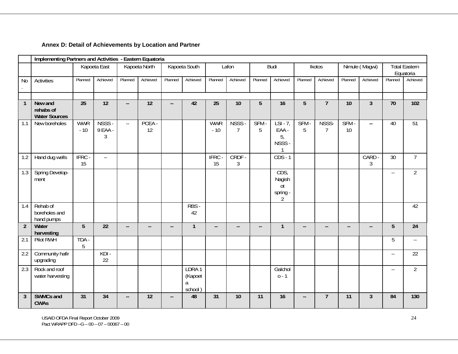### **Annex D: Detail of Achievements by Location and Partner**

|                | Implementing Partners and Activities - Eastern Equatoria |                     |                        |                           |                          |                          |                                  |                          |                          |                          |                                                |                          |                         |                          |                          |                                               |                                   |
|----------------|----------------------------------------------------------|---------------------|------------------------|---------------------------|--------------------------|--------------------------|----------------------------------|--------------------------|--------------------------|--------------------------|------------------------------------------------|--------------------------|-------------------------|--------------------------|--------------------------|-----------------------------------------------|-----------------------------------|
|                |                                                          |                     | Kapoeta East           |                           | Kapoeta North            |                          | Kapoeta South                    |                          | Lafon                    |                          | <b>Budi</b>                                    |                          | Ikotos                  |                          | Nimule (Magwi)           |                                               | <b>Total Eastern</b><br>Equatoria |
| N <sub>0</sub> | <b>Activities</b>                                        | Planned             | Achieved               | Planned                   | Achieved                 | Planned                  | Achieved                         | Planned                  | Achieved                 | Planned                  | Achieved                                       | Planned                  | Achieved                | Planned                  | Achieved                 | Planned                                       | Achieved                          |
|                |                                                          |                     |                        |                           |                          |                          |                                  |                          |                          |                          |                                                |                          |                         |                          |                          |                                               |                                   |
| $\mathbf{1}$   | New and<br>rehabs of<br><b>Water Sources</b>             | $\overline{25}$     | $\overline{12}$        | --                        | $\overline{12}$          | н.                       | 42                               | $\overline{25}$          | 10                       | $5\phantom{.}$           | 16                                             | $\overline{5}$           | $\overline{7}$          | 10                       | $\overline{3}$           | $\overline{70}$                               | 102                               |
| 1.1            | New boreholes                                            | <b>WWR</b><br>$-10$ | NSSS -<br>9 EAA -<br>3 | $\mathbb{Z}^{\mathbb{Z}}$ | PCEA -<br>12             |                          |                                  | <b>WWR</b><br>$-10$      | NSSS -<br>$\overline{7}$ | SFM-<br>5                | $LSI - 7$<br>EAA -<br>5,<br>NSSS-              | SFM-<br>5                | NSSS-<br>$\overline{7}$ | SFM-<br>10               | $\mathbf{u}$             | 40                                            | $\overline{51}$                   |
| 1.2            | Hand dug wells                                           | IFRC-<br>15         | $\sim$ $\sim$          |                           |                          |                          |                                  | IFRC-<br>15              | CRDF-<br>$\mathfrak{Z}$  |                          | $CDS - 1$                                      |                          |                         |                          | CARD<br>3                | $\overline{30}$                               | $\overline{7}$                    |
| 1.3            | Spring Develop-<br>ment                                  |                     |                        |                           |                          |                          |                                  |                          |                          |                          | CDS,<br>Nagish<br>ot<br>spring - $\frac{2}{3}$ |                          |                         |                          |                          | $\mathord{\hspace{1pt}\text{--}\hspace{1pt}}$ | $\overline{2}$                    |
| 1.4            | Rehab of<br>boreholes and<br>hand pumps                  |                     |                        |                           |                          |                          | RBS -<br>42                      |                          |                          |                          |                                                |                          |                         |                          |                          |                                               | 42                                |
| $\overline{2}$ | Water<br>harvesting                                      | $\overline{5}$      | $\overline{22}$        | --                        | $\overline{\phantom{a}}$ | $\overline{\phantom{a}}$ | $\overline{1}$                   | $\overline{\phantom{a}}$ | $\overline{\phantom{a}}$ | $\overline{\phantom{a}}$ | $\overline{1}$                                 | $\overline{\phantom{a}}$ | $-$                     | $\overline{\phantom{a}}$ | $\overline{\phantom{a}}$ | $\overline{5}$                                | $\overline{24}$                   |
| 2.1            | Pilot RWH                                                | TDA -<br>5          |                        |                           |                          |                          |                                  |                          |                          |                          |                                                |                          |                         |                          |                          | 5                                             | $\mathbb{L} \mathbb{L}$           |
| 2.2            | Community hafir<br>upgrading                             |                     | $KDI -$<br>22          |                           |                          |                          |                                  |                          |                          |                          |                                                |                          |                         |                          |                          | $\mathbb{L} \mathbb{L}$                       | 22                                |
| 2.3            | Rock and roof<br>water harvesting                        |                     |                        |                           |                          |                          | LDRA1<br>(Kapoet<br>a<br>school) |                          |                          |                          | Galchol<br>$0 - 1$                             |                          |                         |                          |                          | $\mathord{\hspace{1pt}\text{--}\hspace{1pt}}$ | $\overline{2}$                    |
| $\overline{3}$ | <b>SWMCs and</b><br><b>CWAs</b>                          | 31                  | 34                     | --                        | 12                       | $\overline{\phantom{a}}$ | 48                               | 31                       | 10                       | 11                       | 16                                             | ۰.                       | $\overline{7}$          | 11                       | $\overline{3}$           | 84                                            | 130                               |

USAID OFDA Final Report October 2009 Pact WRAPP DFD –G – 00 – 07 – 00067 – 00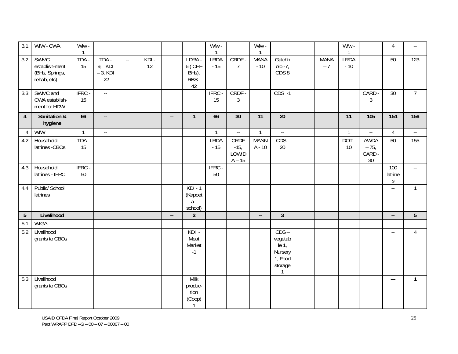| 3.1            | WfW - CWA                                                      | Wfw -<br>$\mathbf{1}$ |                                        |                                    |               |                          |                                          | Wfw -<br>-1          |                                     | Wfw -<br>$\mathbf{1}$    |                                                                                |                     | Wfw -<br>-1          |                                             | $\overline{4}$                | $\mathord{\hspace{1pt}\text{--}\hspace{1pt}}$ |
|----------------|----------------------------------------------------------------|-----------------------|----------------------------------------|------------------------------------|---------------|--------------------------|------------------------------------------|----------------------|-------------------------------------|--------------------------|--------------------------------------------------------------------------------|---------------------|----------------------|---------------------------------------------|-------------------------------|-----------------------------------------------|
| 3.2            | <b>SWMC</b><br>establish-ment<br>(BHs, Springs,<br>rehab, etc) | TDA -<br>15           | TDA -<br>9, KDI<br>$-3$ , KDI<br>$-22$ | $\mathbb{Z}^{\mathbb{Z}^{\times}}$ | $KDI -$<br>12 |                          | LDRA -<br>6 (CHF<br>BHs),<br>RBS -<br>42 | <b>LRDA</b><br>$-15$ | CRDF -<br>$\overline{7}$            | <b>MANA</b><br>$-10$     | Galchh<br>$olo -7,$<br>CDS8                                                    | <b>MANA</b><br>$-7$ | <b>LRDA</b><br>$-10$ |                                             | 50                            | 123                                           |
| 3.3            | SWMC and<br>CWA establish-<br>ment for HDW                     | IFRC-<br>15           | $\mathbb{L}^{\mathbb{L}}$              |                                    |               |                          |                                          | IFRC-<br>15          | CRDF-<br>$\mathfrak{Z}$             |                          | $CDS -1$                                                                       |                     |                      | CARD -<br>3                                 | 30                            | $\overline{7}$                                |
| $\overline{4}$ | Sanitation &<br>hygiene                                        | 66                    | $\overline{\phantom{a}}$               |                                    |               | $\overline{\phantom{a}}$ | $\mathbf{1}$                             | 66                   | 30                                  | 11                       | 20                                                                             |                     | 11                   | 105                                         | 154                           | 156                                           |
| $\overline{4}$ | WfW                                                            | $\mathbf{1}$          | $\sim$ $\sim$                          |                                    |               |                          |                                          | $\mathbf{1}$         | $\mathbb{Z}^{\mathbb{Z}}$           | $\mathbf{1}$             | $\mathbb{Z}^{\mathbb{Z}}$                                                      |                     | $\mathbf{1}$         | $\sim$ $\sim$                               | $\overline{4}$                | $\mathbb{L}^{\mathbb{L}}$                     |
| 4.2            | Household<br>latrines - CBOs                                   | TDA -<br>15           |                                        |                                    |               |                          |                                          | <b>LRDA</b><br>$-15$ | CRDF<br>$-15,$<br>LOWID<br>$A - 15$ | <b>MANN</b><br>A - 10    | $CDS -$<br>20                                                                  |                     | $DOT -$<br>10        | AWDA<br>$-75,$<br>CARD -<br>30 <sup>°</sup> | 50                            | 155                                           |
| 4.3            | Household<br>latrines - IFRC                                   | IFRC -<br>50          |                                        |                                    |               |                          |                                          | IFRC -<br>50         |                                     |                          |                                                                                |                     |                      |                                             | 100<br>latrine<br>$\mathsf S$ | $\mathbb{L}^{\mathbb{L}}$                     |
| 4.4            | Public/ School<br>latrines                                     |                       |                                        |                                    |               |                          | $KDI - 1$<br>(Kapoet<br>$a -$<br>school) |                      |                                     |                          |                                                                                |                     |                      |                                             | $\mathcal{L}$                 | $\mathbf{1}$                                  |
| 5 <sub>5</sub> | Livelihood                                                     |                       |                                        |                                    |               | $\overline{\phantom{a}}$ | $\overline{2}$                           |                      |                                     | $\overline{\phantom{a}}$ | $\overline{3}$                                                                 |                     |                      |                                             | $\overline{\phantom{a}}$      | 5                                             |
| 5.1            | <b>WIGA</b>                                                    |                       |                                        |                                    |               |                          |                                          |                      |                                     |                          |                                                                                |                     |                      |                                             |                               |                                               |
| 5.2            | Livelihood<br>grants to CBOs                                   |                       |                                        |                                    |               |                          | $KDI -$<br>Meat<br>Market<br>$-1$        |                      |                                     |                          | $CDS -$<br>vegetab<br>$\overline{e}$ 1,<br>Nursery<br>1, Food<br>storage<br>-1 |                     |                      |                                             | $\overline{\phantom{a}}$      | $\overline{4}$                                |
| 5.3            | Livelihood<br>grants to CBOs                                   |                       |                                        |                                    |               |                          | Milk<br>produc-<br>tion<br>(Coop)<br>1   |                      |                                     |                          |                                                                                |                     |                      |                                             | $---$                         | $\mathbf{1}$                                  |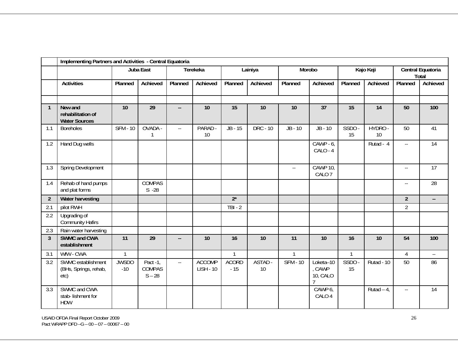|                | Implementing Partners and Activities - Central Equatoria |                       |                                       |                           |                                   |                       |                 |                          |                                      |                 |                 |                           |                            |
|----------------|----------------------------------------------------------|-----------------------|---------------------------------------|---------------------------|-----------------------------------|-----------------------|-----------------|--------------------------|--------------------------------------|-----------------|-----------------|---------------------------|----------------------------|
|                |                                                          |                       | Juba East                             |                           | Terekeka                          |                       | Lainiya         | Morobo                   |                                      |                 | Kajo Keji       |                           | Central Equatoria<br>Total |
|                | <b>Activities</b>                                        | Planned               | Achieved                              | Planned                   | Achieved                          | Planned               | Achieved        | Planned                  | Achieved                             | Planned         | Achieved        | Planned                   | Achieved                   |
|                |                                                          |                       |                                       |                           |                                   |                       |                 |                          |                                      |                 |                 |                           |                            |
| $\mathbf{1}$   | New and<br>rehabilitation of<br><b>Water Sources</b>     | $\overline{10}$       | $\overline{29}$                       | Ξ.                        | $\overline{10}$                   | 15                    | 10              | 10                       | $\overline{37}$                      | $\overline{15}$ | $\overline{14}$ | 50                        | 100                        |
| 1.1            | <b>Boreholes</b>                                         | <b>SFM - 10</b>       | OVADA -<br>1                          | $\mathbb{L}^{\mathbb{L}}$ | PARAD -<br>10                     | $JB - 15$             | <b>DRC - 10</b> | $JB - 10$                | $JB - 10$                            | SSDO-<br>15     | HYDRO -<br>10   | 50                        | 41                         |
| 1.2            | Hand Dug wells                                           |                       |                                       |                           |                                   |                       |                 |                          | $CAWP - 6$<br>CALO - 4               |                 | Rutad - 4       | $\mathbb{L}^{\mathbb{L}}$ | 14                         |
| 1.3            | Spring Development                                       |                       |                                       |                           |                                   |                       |                 | $\overline{\phantom{a}}$ | <b>CAWP 10,</b><br>CALO <sub>7</sub> |                 |                 | $\overline{\phantom{a}}$  | $\overline{17}$            |
| 1.4            | Rehab of hand pumps<br>and plat forms                    |                       | COMPAS<br>$S - 28$                    |                           |                                   |                       |                 |                          |                                      |                 |                 | $\mathbb{L}^{\mathbb{L}}$ | 28                         |
| $\overline{2}$ | Water harvesting                                         |                       |                                       |                           |                                   | $2^*$                 |                 |                          |                                      |                 |                 | $\overline{2}$            | $\overline{\phantom{a}}$   |
| 2.1            | pilot RWH                                                |                       |                                       |                           |                                   | $\overline{TBI}$ - 2  |                 |                          |                                      |                 |                 | $\overline{2}$            |                            |
| 2.2            | Upgrading of<br><b>Community Hafirs</b>                  |                       |                                       |                           |                                   |                       |                 |                          |                                      |                 |                 |                           |                            |
| 2.3            | Rain water harvesting                                    |                       |                                       |                           |                                   |                       |                 |                          |                                      |                 |                 |                           |                            |
| 3              | SWMC and CWA<br>establishment                            | 11                    | 29                                    | --                        | 10                                | 16                    | 10              | 11                       | 10                                   | 16              | 10              | 54                        | 100                        |
| 3.1            | WfW - CWA                                                | $\mathbf{1}$          |                                       |                           |                                   | $\overline{1}$        |                 | $\mathbf{1}$             |                                      | $\mathbf{1}$    |                 | $\overline{4}$            | $\overline{\phantom{a}}$   |
| 3.2            | SWMC establishment<br>(BHs, Springs, rehab,<br>etc)      | <b>JWSDO</b><br>$-10$ | Pact -1,<br><b>COMPAS</b><br>$S - 28$ | $\mathbb{L} \mathbb{L}$   | <b>ACCOMP</b><br><b>LISH - 10</b> | <b>ACORD</b><br>$-15$ | ASTAD -<br>10   | <b>SFM - 10</b>          | Loketa-10<br>CAWP<br><b>10, CALO</b> | SSDO-<br>15     | Rutad - 10      | 50                        | 86                         |
| 3.3            | SWMC and CWA<br>stab-lishment for<br><b>HDW</b>          |                       |                                       |                           |                                   |                       |                 |                          | CAWP 6,<br>CALO 4                    |                 | Rutad $-4$      | $\mathbb{L} \mathbb{L}$   | 14                         |

USAID OFDA Final Report October 2009 Pact WRAPP DFD –G – 00 – 07 – 00067 – 00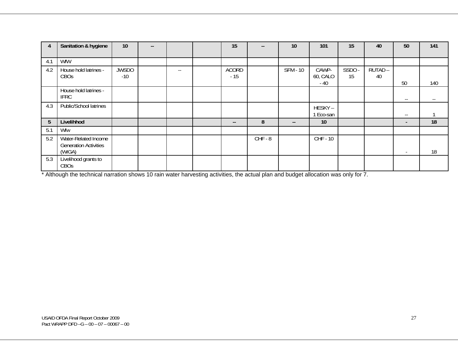| $\overline{4}$ | Sanitation & hygiene                                           | 10                    | $\overline{\phantom{a}}$ |                          | 15                    | $- -$     | 10                       | 101               | 15          | 40           | 50                       | 141   |
|----------------|----------------------------------------------------------------|-----------------------|--------------------------|--------------------------|-----------------------|-----------|--------------------------|-------------------|-------------|--------------|--------------------------|-------|
|                |                                                                |                       |                          |                          |                       |           |                          |                   |             |              |                          |       |
| 4.1            | WfW                                                            |                       |                          |                          |                       |           |                          |                   |             |              |                          |       |
| 4.2            | House hold latrines -<br>CBOs                                  | <b>JWSDO</b><br>$-10$ |                          | $\overline{\phantom{a}}$ | <b>ACORD</b><br>$-15$ |           | <b>SFM - 10</b>          | CAWP-<br>60, CALO | SSDO-<br>15 | RUTAD-<br>40 |                          |       |
|                |                                                                |                       |                          |                          |                       |           |                          | - 40              |             |              | 50                       | 140   |
|                | House hold latrines -<br><b>IFRC</b>                           |                       |                          |                          |                       |           |                          |                   |             |              | $\overline{\phantom{a}}$ | $- -$ |
| 4.3            | Public/School latrines                                         |                       |                          |                          |                       |           |                          | HESKY-<br>Eco-san |             |              | $- -$                    |       |
| 5              | Livelihhod                                                     |                       |                          |                          | --                    | 8         | $\overline{\phantom{a}}$ | 10                |             |              | $\sim$                   | 18    |
| 5.1            | Wfw                                                            |                       |                          |                          |                       |           |                          |                   |             |              |                          |       |
| 5.2            | Water-Related Income<br><b>Generation Activities</b><br>(WIGA) |                       |                          |                          |                       | $CHF - 8$ |                          | $CHF - 10$        |             |              | $\sim$                   | 18    |
| 5.3            | Livelihood grants to<br>CBOs                                   |                       |                          |                          |                       |           |                          |                   |             |              |                          |       |

\* Although the technical narration shows 10 rain water harvesting activities, the actual plan and budget allocation was only for 7.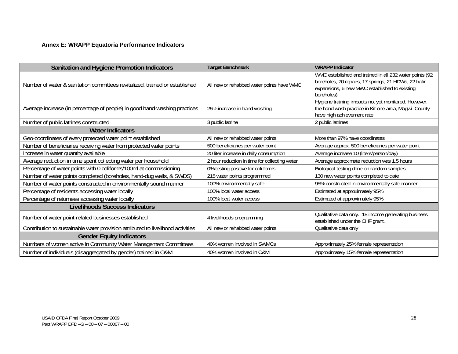#### **Annex E: WRAPP Equatoria Performance Indicators**

| Sanitation and Hygiene Promotion Indicators                                     | <b>Target Benchmark</b>                       | <b>WRAPP Indicator</b>                                                                                                                                                         |
|---------------------------------------------------------------------------------|-----------------------------------------------|--------------------------------------------------------------------------------------------------------------------------------------------------------------------------------|
| Number of water & sanitation committees revitalized, trained or established     | All new or rehabbed water points have WMC     | WMC established and trained in all 232 water points (92<br>boreholes, 70 repairs, 17 springs, 21 HDWs, 22 hafir<br>expansions, 6 new MWC established to existing<br>boreholes) |
| Average increase (in percentage of people) in good hand-washing practices       | 25% increase in hand washing                  | Hygiene training impacts not yet monitored. However,<br>the hand wash practice in Kit one area, Magwi County<br>have high achievement rate                                     |
| Number of public latrines constructed                                           | 3 public latrine                              | 2 public latrines                                                                                                                                                              |
| <b>Water Indicators</b>                                                         |                                               |                                                                                                                                                                                |
| Geo-coordinates of every protected water point established                      | All new or rehabbed water points              | More than 97% have coordinates                                                                                                                                                 |
| Number of beneficiaries receiving water from protected water points             | 500 beneficiaries per water point             | Average approx. 500 beneficiaries per water point                                                                                                                              |
| Increase in water quantity available                                            | 20 liter increase in daily consumption        | Average increase 10 (liters/person/day)                                                                                                                                        |
| Average reduction in time spent collecting water per household                  | 2 hour reduction in time for collecting water | Average approximate reduction was 1.5 hours                                                                                                                                    |
| Percentage of water points with 0 coliforms/100ml at commissioning              | 0% testing positive for coli forms            | Biological testing done on random samples                                                                                                                                      |
| Number of water points completed (boreholes, hand-dug wells, & SWDS)            | 215 water points programmed                   | 130 new water points completed to date                                                                                                                                         |
| Number of water points constructed in environmentally sound manner              | 100% environmentally safe                     | 95% constructed in environmentally safe manner                                                                                                                                 |
| Percentage of residents accessing water locally                                 | 100% local water access                       | Estimated at approximately 95%                                                                                                                                                 |
| Percentage of returnees accessing water locally                                 | 100% local water access                       | Estimated at approximately 95%                                                                                                                                                 |
| <b>Livelihoods Success Indicators</b>                                           |                                               |                                                                                                                                                                                |
| Number of water point-related businesses established                            | 4 livelihoods programming                     | Qualitative data only. 18 income generating business<br>established under the CHF grant.                                                                                       |
| Contribution to sustainable water provision attributed to livelihood activities | All new or rehabbed water points              | Qualitative data only                                                                                                                                                          |
| <b>Gender Equity Indicators</b>                                                 |                                               |                                                                                                                                                                                |
| Numbers of women active in Community Water Management Committees                | 40% women involved in SWMCs                   | Approximately 25% female representation                                                                                                                                        |
| Number of individuals (disaggregated by gender) trained in O&M                  | 40% women involved in O&M                     | Approximately 15% female representation                                                                                                                                        |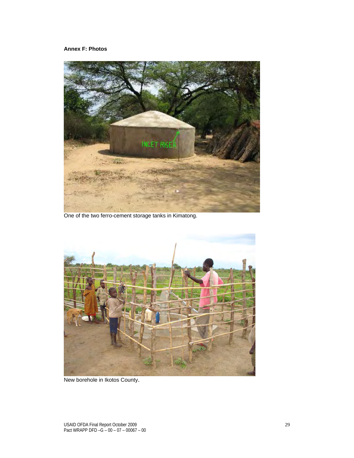#### **Annex F: Photos**



One of the two ferro-cement storage tanks in Kimatong.



New borehole in Ikotos County.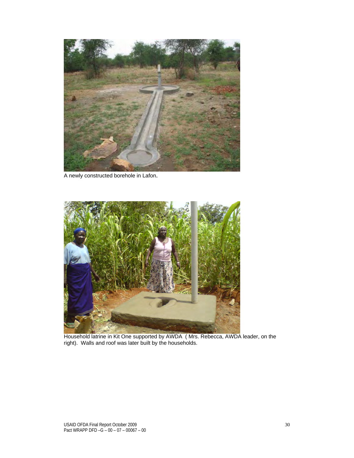

A newly constructed borehole in Lafon.



Household latrine in Kit One supported by AWDA ( Mrs. Rebecca, AWDA leader, on the right). Walls and roof was later built by the households.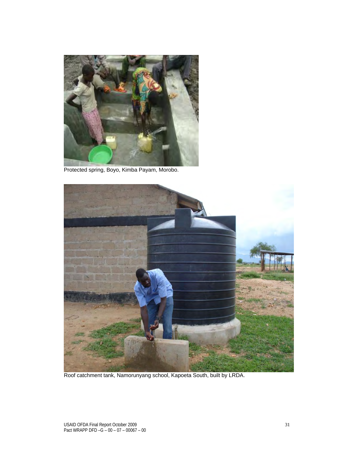

Protected spring, Boyo, Kimba Payam, Morobo.



Roof catchment tank, Namorunyang school, Kapoeta South, built by LRDA.